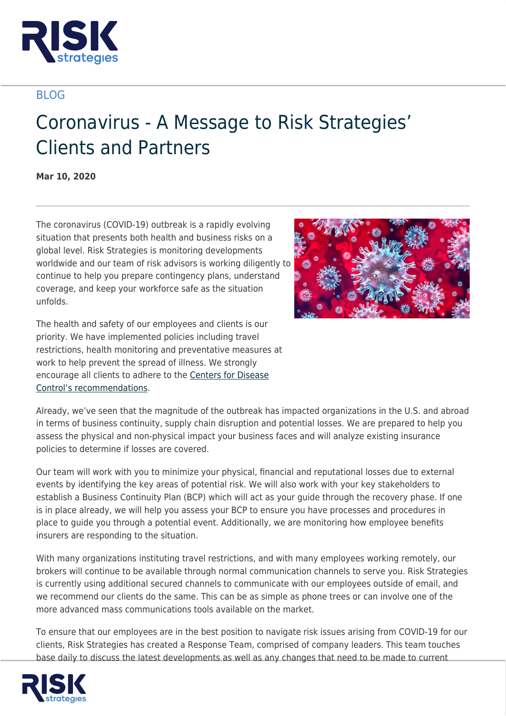

## BLOG

## Coronavirus - A Message to Risk Strategies' Clients and Partners

**Mar 10, 2020**

The coronavirus (COVID‐19) outbreak is a rapidly evolving situation that presents both health and business risks on a global level. Risk Strategies is monitoring developments worldwide and our team of risk advisors is working diligently to continue to help you prepare contingency plans, understand coverage, and keep your workforce safe as the situation unfolds.



The health and safety of our employees and clients is our priority. We have implemented policies including travel restrictions, health monitoring and preventative measures at work to help prevent the spread of illness. We strongly encourage all clients to adhere to the [Centers for Disease](https://www.cdc.gov/coronavirus/2019-ncov/community/index.html) [Control's recommendations.](https://www.cdc.gov/coronavirus/2019-ncov/community/index.html)

Already, we've seen that the magnitude of the outbreak has impacted organizations in the U.S. and abroad in terms of business continuity, supply chain disruption and potential losses. We are prepared to help you assess the physical and non-physical impact your business faces and will analyze existing insurance policies to determine if losses are covered.

Our team will work with you to minimize your physical, financial and reputational losses due to external events by identifying the key areas of potential risk. We will also work with your key stakeholders to establish a Business Continuity Plan (BCP) which will act as your guide through the recovery phase. If one is in place already, we will help you assess your BCP to ensure you have processes and procedures in place to guide you through a potential event. Additionally, we are monitoring how employee benefits insurers are responding to the situation.

With many organizations instituting travel restrictions, and with many employees working remotely, our brokers will continue to be available through normal communication channels to serve you. Risk Strategies is currently using additional secured channels to communicate with our employees outside of email, and we recommend our clients do the same. This can be as simple as phone trees or can involve one of the more advanced mass communications tools available on the market.

To ensure that our employees are in the best position to navigate risk issues arising from COVID-19 for our clients, Risk Strategies has created a Response Team, comprised of company leaders. This team touches base daily to discuss the latest developments as well as any changes that need to be made to current